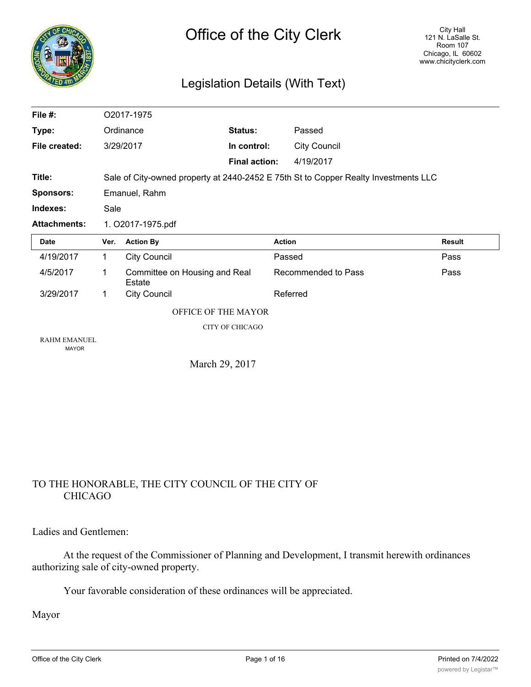|   | CHIC |
|---|------|
|   |      |
|   |      |
|   |      |
| Z |      |

### Legislation Details (With Text)

| File #:                             | O2017-1975                                                                          |                                         |                      |               |                     |               |
|-------------------------------------|-------------------------------------------------------------------------------------|-----------------------------------------|----------------------|---------------|---------------------|---------------|
| Type:                               |                                                                                     | <b>Status:</b><br>Ordinance             |                      |               | Passed              |               |
| File created:                       |                                                                                     | 3/29/2017                               | In control:          |               | <b>City Council</b> |               |
|                                     |                                                                                     |                                         | <b>Final action:</b> |               | 4/19/2017           |               |
| Title:                              | Sale of City-owned property at 2440-2452 E 75th St to Copper Realty Investments LLC |                                         |                      |               |                     |               |
| <b>Sponsors:</b>                    | Emanuel, Rahm                                                                       |                                         |                      |               |                     |               |
| Indexes:                            | Sale                                                                                |                                         |                      |               |                     |               |
| <b>Attachments:</b>                 | 1. O2017-1975.pdf                                                                   |                                         |                      |               |                     |               |
| <b>Date</b>                         | Ver.                                                                                | <b>Action By</b>                        |                      | <b>Action</b> |                     | <b>Result</b> |
| 4/19/2017                           | 1                                                                                   | <b>City Council</b>                     |                      | Passed        |                     | Pass          |
| 4/5/2017                            | 1                                                                                   | Committee on Housing and Real<br>Estate |                      |               | Recommended to Pass | Pass          |
| 3/29/2017                           | 1                                                                                   | <b>City Council</b>                     |                      | Referred      |                     |               |
| OFFICE OF THE MAYOR                 |                                                                                     |                                         |                      |               |                     |               |
|                                     | <b>CITY OF CHICAGO</b>                                                              |                                         |                      |               |                     |               |
| <b>RAHM EMANUEL</b><br><b>MAYOR</b> |                                                                                     |                                         |                      |               |                     |               |
|                                     |                                                                                     | March 29, 2017                          |                      |               |                     |               |

#### TO THE HONORABLE, THE CITY COUNCIL OF THE CITY OF CHICAGO

Ladies and Gentlemen:

At the request of the Commissioner of Planning and Development, I transmit herewith ordinances authorizing sale of city-owned property.

Your favorable consideration of these ordinances will be appreciated.

Mayor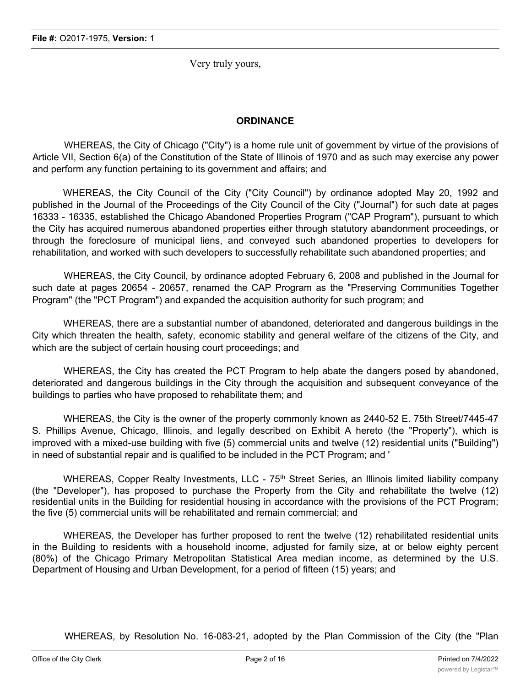Very truly yours,

#### **ORDINANCE**

WHEREAS, the City of Chicago ("City") is a home rule unit of government by virtue of the provisions of Article VII, Section 6(a) of the Constitution of the State of Illinois of 1970 and as such may exercise any power and perform any function pertaining to its government and affairs; and

WHEREAS, the City Council of the City ("City Council") by ordinance adopted May 20, 1992 and published in the Journal of the Proceedings of the City Council of the City ("Journal") for such date at pages 16333 - 16335, established the Chicago Abandoned Properties Program ("CAP Program"), pursuant to which the City has acquired numerous abandoned properties either through statutory abandonment proceedings, or through the foreclosure of municipal liens, and conveyed such abandoned properties to developers for rehabilitation, and worked with such developers to successfully rehabilitate such abandoned properties; and

WHEREAS, the City Council, by ordinance adopted February 6, 2008 and published in the Journal for such date at pages 20654 - 20657, renamed the CAP Program as the "Preserving Communities Together Program" (the "PCT Program") and expanded the acquisition authority for such program; and

WHEREAS, there are a substantial number of abandoned, deteriorated and dangerous buildings in the City which threaten the health, safety, economic stability and general welfare of the citizens of the City, and which are the subject of certain housing court proceedings; and

WHEREAS, the City has created the PCT Program to help abate the dangers posed by abandoned, deteriorated and dangerous buildings in the City through the acquisition and subsequent conveyance of the buildings to parties who have proposed to rehabilitate them; and

WHEREAS, the City is the owner of the property commonly known as 2440-52 E. 75th Street/7445-47 S. Phillips Avenue, Chicago, Illinois, and legally described on Exhibit A hereto (the "Property"), which is improved with a mixed-use building with five (5) commercial units and twelve (12) residential units ("Building") in need of substantial repair and is qualified to be included in the PCT Program; and '

WHEREAS, Copper Realty Investments, LLC - 75<sup>th</sup> Street Series, an Illinois limited liability company (the "Developer"), has proposed to purchase the Property from the City and rehabilitate the twelve (12) residential units in the Building for residential housing in accordance with the provisions of the PCT Program; the five (5) commercial units will be rehabilitated and remain commercial; and

WHEREAS, the Developer has further proposed to rent the twelve (12) rehabilitated residential units in the Building to residents with a household income, adjusted for family size, at or below eighty percent (80%) of the Chicago Primary Metropolitan Statistical Area median income, as determined by the U.S. Department of Housing and Urban Development, for a period of fifteen (15) years; and

WHEREAS, by Resolution No. 16-083-21, adopted by the Plan Commission of the City (the "Plan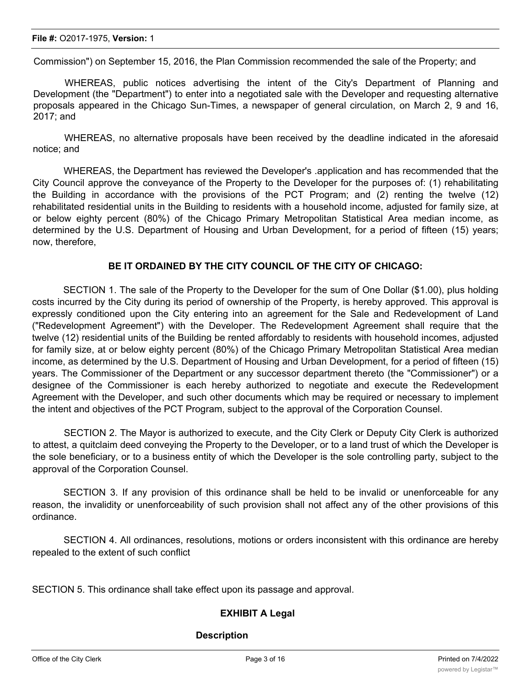Commission") on September 15, 2016, the Plan Commission recommended the sale of the Property; and

WHEREAS, public notices advertising the intent of the City's Department of Planning and Development (the "Department") to enter into a negotiated sale with the Developer and requesting alternative proposals appeared in the Chicago Sun-Times, a newspaper of general circulation, on March 2, 9 and 16, 2017; and

WHEREAS, no alternative proposals have been received by the deadline indicated in the aforesaid notice; and

WHEREAS, the Department has reviewed the Developer's .application and has recommended that the City Council approve the conveyance of the Property to the Developer for the purposes of: (1) rehabilitating the Building in accordance with the provisions of the PCT Program; and (2) renting the twelve (12) rehabilitated residential units in the Building to residents with a household income, adjusted for family size, at or below eighty percent (80%) of the Chicago Primary Metropolitan Statistical Area median income, as determined by the U.S. Department of Housing and Urban Development, for a period of fifteen (15) years; now, therefore,

#### **BE IT ORDAINED BY THE CITY COUNCIL OF THE CITY OF CHICAGO:**

SECTION 1. The sale of the Property to the Developer for the sum of One Dollar (\$1.00), plus holding costs incurred by the City during its period of ownership of the Property, is hereby approved. This approval is expressly conditioned upon the City entering into an agreement for the Sale and Redevelopment of Land ("Redevelopment Agreement") with the Developer. The Redevelopment Agreement shall require that the twelve (12) residential units of the Building be rented affordably to residents with household incomes, adjusted for family size, at or below eighty percent (80%) of the Chicago Primary Metropolitan Statistical Area median income, as determined by the U.S. Department of Housing and Urban Development, for a period of fifteen (15) years. The Commissioner of the Department or any successor department thereto (the "Commissioner") or a designee of the Commissioner is each hereby authorized to negotiate and execute the Redevelopment Agreement with the Developer, and such other documents which may be required or necessary to implement the intent and objectives of the PCT Program, subject to the approval of the Corporation Counsel.

SECTION 2. The Mayor is authorized to execute, and the City Clerk or Deputy City Clerk is authorized to attest, a quitclaim deed conveying the Property to the Developer, or to a land trust of which the Developer is the sole beneficiary, or to a business entity of which the Developer is the sole controlling party, subject to the approval of the Corporation Counsel.

SECTION 3. If any provision of this ordinance shall be held to be invalid or unenforceable for any reason, the invalidity or unenforceability of such provision shall not affect any of the other provisions of this ordinance.

SECTION 4. All ordinances, resolutions, motions or orders inconsistent with this ordinance are hereby repealed to the extent of such conflict

SECTION 5. This ordinance shall take effect upon its passage and approval.

#### **EXHIBIT A Legal**

#### **Description**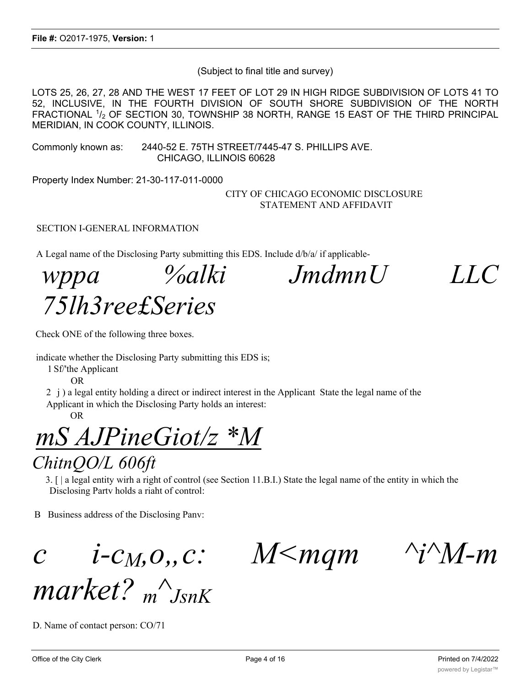(Subject to final title and survey)

LOTS 25, 26, 27, 28 AND THE WEST 17 FEET OF LOT 29 IN HIGH RIDGE SUBDIVISION OF LOTS 41 TO 52, INCLUSIVE, IN THE FOURTH DIVISION OF SOUTH SHORE SUBDIVISION OF THE NORTH FRACTIONAL  $1/2$  OF SECTION 30, TOWNSHIP 38 NORTH, RANGE 15 EAST OF THE THIRD PRINCIPAL MERIDIAN, IN COOK COUNTY, ILLINOIS.

Commonly known as: 2440-52 E. 75TH STREET/7445-47 S. PHILLIPS AVE. CHICAGO, ILLINOIS 60628

Property Index Number: 21-30-117-011-0000

CITY OF CHICAGO ECONOMIC DISCLOSURE STATEMENT AND AFFIDAVIT

SECTION I-GENERAL INFORMATION

A Legal name of the Disclosing Party submitting this EDS. Include d/b/a/ if applicable-

*wppa %alki JmdmnU LLC 75lh3ree£Series*

Check ONE of the following three boxes.

indicate whether the Disclosing Party submitting this EDS is;

1 Sf/'the Applicant

OR

2 j ) a legal entity holding a direct or indirect interest in the Applicant State the legal name of the Applicant in which the Disclosing Party holds an interest:

OR

# *mS AJPineGiot/z \*M*

### *ChitnQO/L 606ft*

3. [ | a legal entity wirh a right of control (see Section 11.B.I.) State the legal name of the entity in which the Disclosing Partv holds a riaht of control:

B Business address of the Disclosing Panv:

*c i-c<sub>M</sub>, o,, c: M*  $\leq$  *M* $\leq$  *mqm*  $\leq$  *<sup>'</sup>i* $\leq$  *M-m* 

*market? <sup>m</sup> ^ JsnK*

D. Name of contact person: CO/71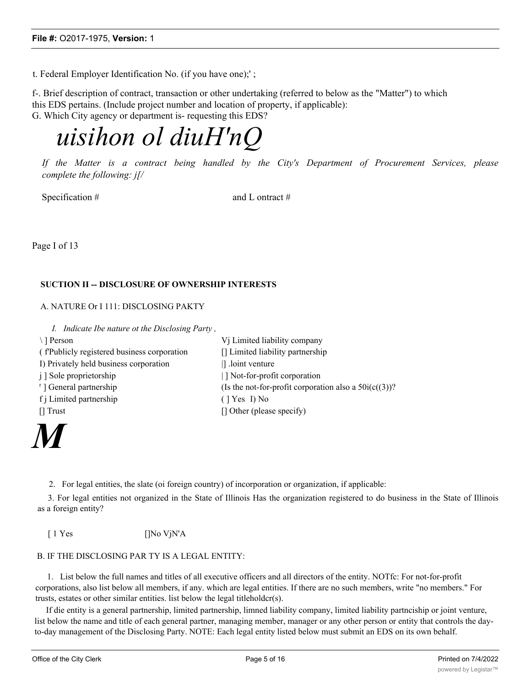t. Federal Employer Identification No. (if you have one);' ;

f-. Brief description of contract, transaction or other undertaking (referred to below as the "Matter") to which this EDS pertains. (Include project number and location of property, if applicable): G. Which City agency or department is- requesting this EDS?

## *uisihon ol diuH'nQ*

*If the Matter is a contract being handled by the City's Department of Procurement Services, please complete the following: j[/*

Specification #  $\qquad \qquad \text{and } L \text{ ontract } \#$ 

Page I of 13

#### **SUCTION II -- DISCLOSURE OF OWNERSHIP INTERESTS**

A. NATURE Or I 111: DISCLOSING PAKTY

*I. Indicate Ibe nature ot the Disclosing Party ,*

\ ] Person  $Vj$  Limited liability company ( f'Publicly registered business corporation [] Limited liability partnership I) Privately held business corporation | | .loint venture j ] Sole proprietorship  $| ]$  Not-for-profit corporation <sup>r</sup>] General partnership (Is the not-for-profit corporation also a  $50i(c((3))$ ? f j Limited partnership ( ] Yes I) No [] Trust [] Other (please specify)



2. For legal entities, the slate (oi foreign country) of incorporation or organization, if applicable:

3. For legal entities not organized in the State of Illinois Has the organization registered to do business in the State of Illinois as a foreign entity?

[ 1 Yes []No VjN'A

#### B. IF THE DISCLOSING PAR TY IS A LEGAL ENTITY:

1. List below the full names and titles of all executive officers and all directors of the entity. NOTfc: For not-for-profit corporations, also list below all members, if any. which are legal entities. If there are no such members, write "no members." For trusts, estates or other similar entities. list below the legal titleholdcr(s).

If die entity is a general partnership, limited partnership, limned liability company, limited liability partnciship or joint venture, list below the name and title of each general partner, managing member, manager or any other person or entity that controls the dayto-day management of the Disclosing Party. NOTE: Each legal entity listed below must submit an EDS on its own behalf.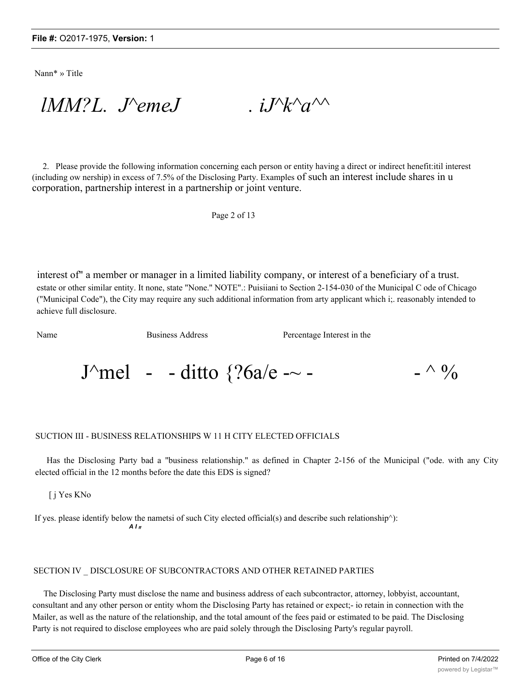Nann\* » Title

 $lMM?L$ . *J*<sup>*N*</sup>emeJ .  $iJ^k$ <sub>*k*</sub><sup> $\land$ </sup>

2. Please provide the following information concerning each person or entity having a direct or indirect henefit:itil interest (including ow nership) in excess of 7.5% of the Disclosing Party. Examples of such an interest include shares in u corporation, partnership interest in a partnership or joint venture.

Page 2 of 13

interest of" a member or manager in a limited liability company, or interest of a beneficiary of a trust. estate or other similar entity. It none, state "None.'' NOTE".: Puisiiani to Section 2-154-030 of the Municipal C ode of Chicago ("Municipal Code"), the City may require any such additional information from arty applicant which i;. reasonably intended to achieve full disclosure.

Name Business Address Percentage Interest in the

J^mel - - ditto  $\frac{26a}{e}$  -~ - - ^ %

#### SUCTION III - BUSINESS RELATIONSHIPS W 11 H CITY ELECTED OFFICIALS

Has the Disclosing Party bad a "business relationship." as defined in Chapter 2-156 of the Municipal ("ode. with any City elected official in the 12 months before the date this EDS is signed?

[ j Yes KNo

If yes. please identify below the nametsi of such City elected official(s) and describe such relationship^): *A I ff*

#### SECTION IV \_ DISCLOSURE OF SUBCONTRACTORS AND OTHER RETAINED PARTIES

The Disclosing Party must disclose the name and business address of each subcontractor, attorney, lobbyist, accountant, consultant and any other person or entity whom the Disclosing Party has retained or expect;- io retain in connection with the Mailer, as well as the nature of the relationship, and the total amount of the fees paid or estimated to be paid. The Disclosing Party is not required to disclose employees who are paid solely through the Disclosing Party's regular payroll.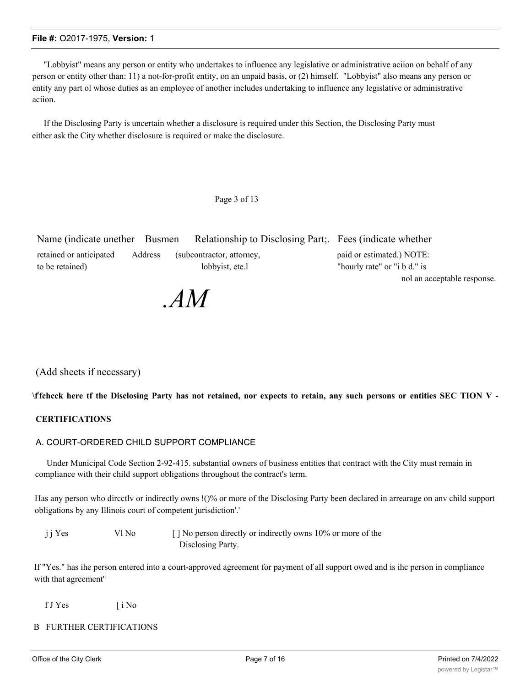"Lobbyist" means any person or entity who undertakes to influence any legislative or administrative aciion on behalf of any person or entity other than: 11) a not-for-profit entity, on an unpaid basis, or (2) himself. "Lobbyist" also means any person or entity any part ol whose duties as an employee of another includes undertaking to influence any legislative or administrative aciion.

If the Disclosing Party is uncertain whether a disclosure is required under this Section, the Disclosing Party must either ask the City whether disclosure is required or make the disclosure.

#### Page 3 of 13

| Name (indicate unether Busmen     |         | Relationship to Disclosing Part; Fees (indicate whether |                              |
|-----------------------------------|---------|---------------------------------------------------------|------------------------------|
| retained or anticipated           | Address | (subcontractor, attorney,                               | paid or estimated.) NOTE:    |
| lobbyist, ete.<br>to be retained) |         |                                                         | "hourly rate" or "i b d." is |
|                                   |         |                                                         | nol an acceptable response.  |

*.AM*

#### (Add sheets if necessary)

\ffchcck here tf the Disclosing Party has not retained, nor expects to retain, any such persons or entities SEC TION V -

#### **CERTIFICATIONS**

#### A. COURT-ORDERED CHILD SUPPORT COMPLIANCE

Under Municipal Code Section 2-92-415. substantial owners of business entities that contract with the City must remain in compliance with their child support obligations throughout the contract's term.

Has any person who dircctlv or indirectly owns !()% or more of the Disclosing Party been declared in arrearage on anv child support obligations by any Illinois court of competent jurisdiction'.'

| j j Yes | Vl No | [] No person directly or indirectly owns 10% or more of the |
|---------|-------|-------------------------------------------------------------|
|         |       | Disclosing Party.                                           |

If "Yes." has ihe person entered into a court-approved agreement for payment of all support owed and is ihc person in compliance with that agreement<sup>1</sup>

f J Yes [ i No

#### B FURTHER CERTIFICATIONS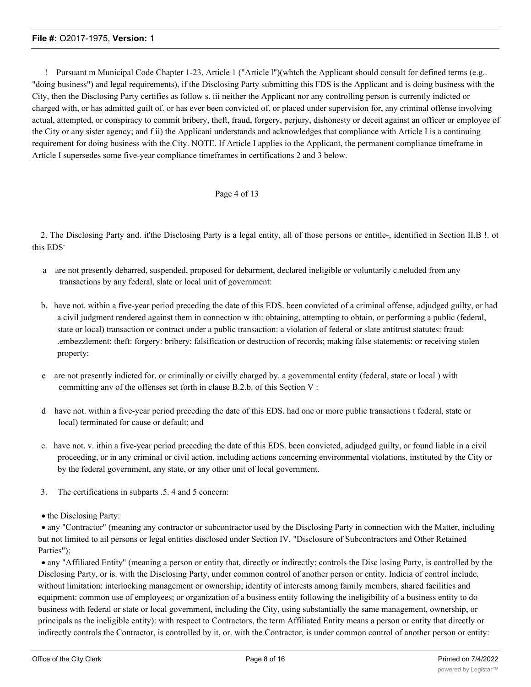! Pursuant m Municipal Code Chapter 1-23. Article 1 ("Article l")(whtch the Applicant should consult for defined terms (e.g.. "doing business") and legal requirements), if the Disclosing Party submitting this FDS is the Applicant and is doing business with the City, then the Disclosing Party certifies as follow s. iii neither the Applicant nor any controlling person is currently indicted or charged with, or has admitted guilt of. or has ever been convicted of. or placed under supervision for, any criminal offense involving actual, attempted, or conspiracy to commit bribery, theft, fraud, forgery, perjury, dishonesty or deceit against an officer or employee of the City or any sister agency; and f ii) the Applicani understands and acknowledges that compliance with Article I is a continuing requirement for doing business with the City. NOTE. If Article I applies io the Applicant, the permanent compliance timeframe in Article I supersedes some five-year compliance timeframes in certifications 2 and 3 below.

#### Page 4 of 13

2. The Disclosing Party and. it'the Disclosing Party is a legal entity, all of those persons or entitle-, identified in Section II.B !. ot this EDS-

- a are not presently debarred, suspended, proposed for debarment, declared ineligible or voluntarily c.neluded from any transactions by any federal, slate or local unit of government:
- b. have not. within a five-year period preceding the date of this EDS. been convicted of a criminal offense, adjudged guilty, or had a civil judgment rendered against them in connection w ith: obtaining, attempting to obtain, or performing a public (federal, state or local) transaction or contract under a public transaction: a violation of federal or slate antitrust statutes: fraud: .embezzlement: theft: forgery: bribery: falsification or destruction of records; making false statements: or receiving stolen property:
- e are not presently indicted for. or criminally or civilly charged by. a governmental entity (federal, state or local ) with committing anv of the offenses set forth in clause B.2.b. of this Section V :
- d have not. within a five-year period preceding the date of this EDS. had one or more public transactions t federal, state or local) terminated for cause or default; and
- e. have not. v. ithin a five-year period preceding the date of this EDS. been convicted, adjudged guilty, or found liable in a civil proceeding, or in any criminal or civil action, including actions concerning environmental violations, instituted by the City or by the federal government, any state, or any other unit of local government.
- 3. The certifications in subparts .5. 4 and 5 concern:
- the Disclosing Party:

· any "Contractor" (meaning any contractor or subcontractor used by the Disclosing Party in connection with the Matter, including but not limited to ail persons or legal entities disclosed under Section IV. "Disclosure of Subcontractors and Other Retained Parties");

· any "Affiliated Entity" (meaning a person or entity that, directly or indirectly: controls the Disc losing Party, is controlled by the Disclosing Party, or is. with the Disclosing Party, under common control of another person or entity. Indicia of control include, without limitation: interlocking management or ownership; identity of interests among family members, shared facilities and equipment: common use of employees; or organization of a business entity following the ineligibility of a business entity to do business with federal or state or local government, including the City, using substantially the same management, ownership, or principals as the ineligible entity): with respect to Contractors, the term Affiliated Entity means a person or entity that directly or indirectly controls the Contractor, is controlled by it, or. with the Contractor, is under common control of another person or entity: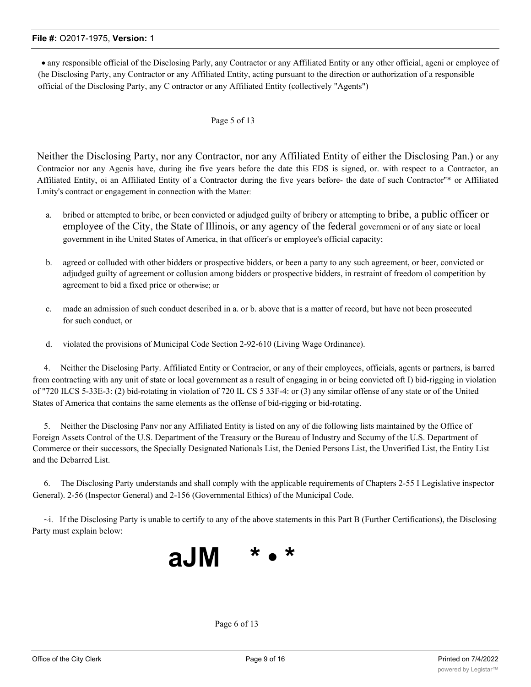· any responsible official of the Disclosing Parly, any Contractor or any Affiliated Entity or any other official, ageni or employee of (he Disclosing Party, any Contractor or any Affiliated Entity, acting pursuant to the direction or authorization of a responsible official of the Disclosing Party, any C ontractor or any Affiliated Entity (collectively "Agents")

#### Page 5 of 13

Neither the Disclosing Party, nor any Contractor, nor any Affiliated Entity of either the Disclosing Pan.) or any Contracior nor any Agcnis have, during ihe five years before the date this EDS is signed, or. with respect to a Contractor, an Affiliated Entity, oi an Affiliated Entity of a Contractor during the five years before- the date of such Contractor''\* or Affiliated Lmity's contract or engagement in connection with the Matter:

- a. bribed or attempted to bribe, or been convicted or adjudged guilty of bribery or attempting to bribe, a public officer or employee of the City, the State of Illinois, or any agency of the federal govcrnmeni or of any siate or local government in ihe United States of America, in that officer's or employee's official capacity;
- b. agreed or colluded with other bidders or prospective bidders, or been a party to any such agreement, or beer, convicted or adjudged guilty of agreement or collusion among bidders or prospective bidders, in restraint of freedom ol competition by agreement to bid a fixed price or otherwise; or
- c. made an admission of such conduct described in a. or b. above that is a matter of record, but have not been prosecuted for such conduct, or
- d. violated the provisions of Municipal Code Section 2-92-610 (Living Wage Ordinance).

4. Neither the Disclosing Party. Affiliated Entity or Contracior, or any of their employees, officials, agents or partners, is barred from contracting with any unit of state or local government as a result of engaging in or being convicted oft I) bid-rigging in violation of "720 ILCS 5-33E-3: (2) bid-rotating in violation of 720 IL CS 5 33F-4: or (3) any similar offense of any state or of the United States of America that contains the same elements as the offense of bid-rigging or bid-rotating.

5. Neither the Disclosing Panv nor any Affiliated Entity is listed on any of die following lists maintained by the Office of Foreign Assets Control of the U.S. Department of the Treasury or the Bureau of Industry and Sccumy of the U.S. Department of Commerce or their successors, the Specially Designated Nationals List, the Denied Persons List, the Unverified List, the Entity List and the Debarred List.

6. The Disclosing Party understands and shall comply with the applicable requirements of Chapters 2-55 I Legislative inspector General). 2-56 (Inspector General) and 2-156 (Governmental Ethics) of the Municipal Code.

 $\sim$ i. If the Disclosing Party is unable to certify to any of the above statements in this Part B (Further Certifications), the Disclosing Party must explain below:



Page 6 of 13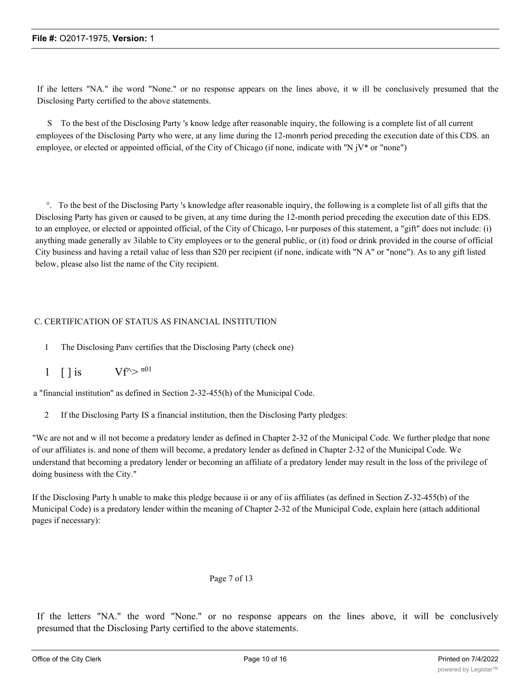If ihe letters "NA." ihe word "None." or no response appears on the lines above, it w ill be conclusively presumed that the Disclosing Party certified to the above statements.

S To the best of the Disclosing Party 's know ledge after reasonable inquiry, the following is a complete list of all current employees of the Disclosing Party who were, at any lime during the 12-monrh period preceding the execution date of this CDS. an employee, or elected or appointed official, of the City of Chicago (if none, indicate with ''N jV\* or "none")

°. To the best of the Disclosing Party 's knowledge after reasonable inquiry, the following is a complete list of all gifts that the Disclosing Party has given or caused to be given, at any time during the 12-month period preceding the execution date of this EDS. to an employee, or elected or appointed official, of the City of Chicago, l-nr purposes of this statement, a "gift" does not include: (i) anything made generally av 3ilable to City employees or to the general public, or (it) food or drink provided in the course of official City business and having a retail value of less than S20 per recipient (if none, indicate with "N A" or "none"). As to any gift listed below, please also list the name of the City recipient.

#### C. CERTIFICATION OF STATUS AS FINANCIAL INSTITUTION

- 1 The Disclosing Panv certifies that the Disclosing Party (check one)
- 1  $\lceil \cdot \rceil$  is  $Vf^{\wedge} > n^{01}$

a "financial institution'' as defined in Section 2-32-455(h) of the Municipal Code.

2 If the Disclosing Party IS a financial institution, then the Disclosing Party pledges:

"Wc are not and w ill not become a predatory lender as defined in Chapter 2-32 of the Municipal Code. We further pledge that none of our affiliates is. and none of them will become, a predatory lender as defined in Chapter 2-32 of the Municipal Code. We understand that becoming a predatory lender or becoming an affiliate of a predatory lender may result in the loss of the privilege of doing business with the City."

If the Disclosing Party h unable to make this pledge because ii or any of iis affiliates (as defined in Section Z-32-455(b) of the Municipal Code) is a predatory lender within the meaning of Chapter 2-32 of the Municipal Code, explain here (attach additional pages if necessary):

#### Page 7 of 13

If the letters "NA." the word "None." or no response appears on the lines above, it will be conclusively presumed that the Disclosing Party certified to the above statements.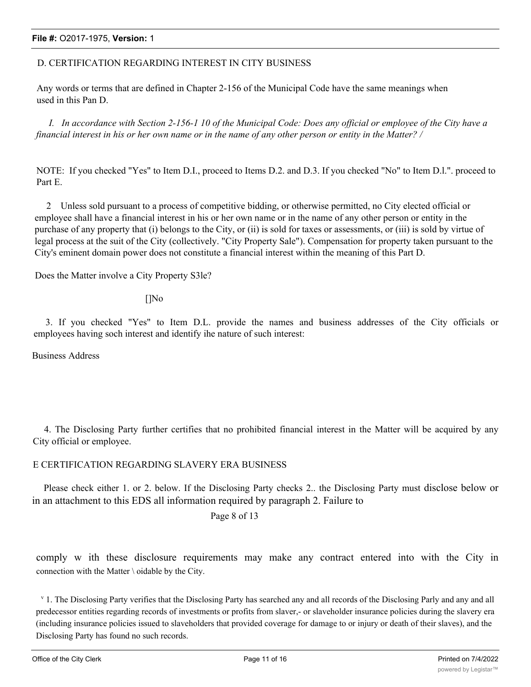#### D. CERTIFICATION REGARDING INTEREST IN CITY BUSINESS

Any words or terms that are defined in Chapter 2-156 of the Municipal Code have the same meanings when used in this Pan D.

*I. In accordance with Section 2-156-1 10 of the Municipal Code: Does any official or employee of the City have a financial interest in his or her own name or in the name of any other person or entity in the Matter? /*

NOTE: If you checked "Yes" to Item D.I., proceed to Items D.2. and D.3. If you checked "No" to Item D.l.". proceed to Part E.

2 Unless sold pursuant to a process of competitive bidding, or otherwise permitted, no City elected official or employee shall have a financial interest in his or her own name or in the name of any other person or entity in the purchase of any property that (i) belongs to the City, or (ii) is sold for taxes or assessments, or (iii) is sold by virtue of legal process at the suit of the City (collectively. "City Property Sale"). Compensation for property taken pursuant to the City's eminent domain power does not constitute a financial interest within the meaning of this Part D.

Does the Matter involve a City Property S3le?

[]No

3. If you checked "Yes" to Item D.L. provide the names and business addresses of the City officials or employees having soch interest and identify ihe nature of such interest:

Business Address

4. The Disclosing Party further certifies that no prohibited financial interest in the Matter will be acquired by any City official or employee.

#### E CERTIFICATION REGARDING SLAVERY ERA BUSINESS

Please check either 1. or 2. below. If the Disclosing Party checks 2.. the Disclosing Party must disclose below or in an attachment to this EDS all information required by paragraph 2. Failure to

Page 8 of 13

comply w ith these disclosure requirements may make any contract entered into with the City in connection with the Matter \ oidable by the City.

<sup>v</sup> 1. The Disclosing Party verifies that the Disclosing Party has searched any and all records of the Disclosing Parly and any and all predecessor entities regarding records of investments or profits from slaver,- or slaveholder insurance policies during the slavery era (including insurance policies issued to slaveholders that provided coverage for damage to or injury or death of their slaves), and the Disclosing Party has found no such records.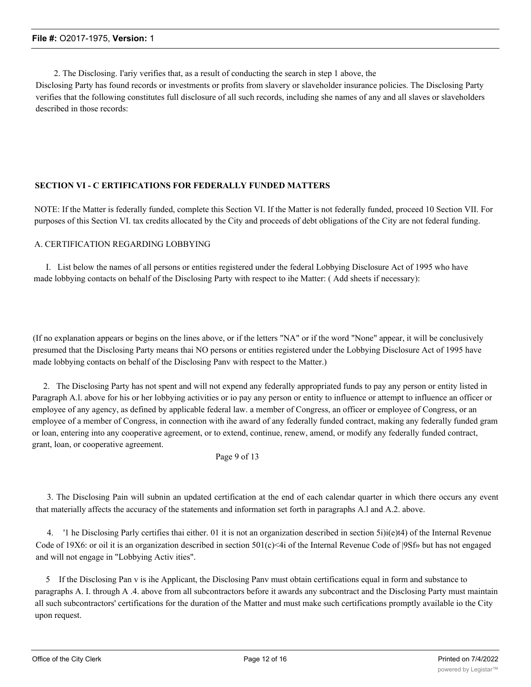2. The Disclosing. I'ariy verifies that, as a result of conducting the search in step 1 above, the

Disclosing Party has found records or investments or profits from slavery or slaveholder insurance policies. The Disclosing Party verifies that the following constitutes full disclosure of all such records, including she names of any and all slaves or slaveholders described in those records:

#### **SECTION VI - C ERTIFICATIONS FOR FEDERALLY FUNDED MATTERS**

NOTE: If the Matter is federally funded, complete this Section VI. If the Matter is not federally funded, proceed 10 Section VII. For purposes of this Section VI. tax credits allocated by the City and proceeds of debt obligations of the City are not federal funding.

#### A. CERTIFICATION REGARDING LOBBYING

I. List below the names of all persons or entities registered under the federal Lobbying Disclosure Act of 1995 who have made lobbying contacts on behalf of the Disclosing Party with respect to ihe Matter: ( Add sheets if necessary):

(If no explanation appears or begins on the lines above, or if the letters "NA" or if the word "None" appear, it will be conclusively presumed that the Disclosing Party means thai NO persons or entities registered under the Lobbying Disclosure Act of 1995 have made lobbying contacts on behalf of the Disclosing Panv with respect to the Matter.)

2. The Disclosing Party has not spent and will not expend any federally appropriated funds to pay any person or entity listed in Paragraph A.l. above for his or her lobbying activities or io pay any person or entity to influence or attempt to influence an officer or employee of any agency, as defined by applicable federal law. a member of Congress, an officer or employee of Congress, or an employee of a member of Congress, in connection with ihe award of any federally funded contract, making any federally funded gram or loan, entering into any cooperative agreement, or to extend, continue, renew, amend, or modify any federally funded contract, grant, loan, or cooperative agreement.

Page 9 of 13

3. The Disclosing Pain will subnin an updated certification at the end of each calendar quarter in which there occurs any event that materially affects the accuracy of the statements and information set forth in paragraphs A.l and A.2. above.

4. '1 he Disclosing Parly certifies thai either. 01 it is not an organization described in section 5i)i(e)t4) of the Internal Revenue Code of 19X6: or oil it is an organization described in section  $501(c) \leq 4i$  of the Internal Revenue Code of  $|9Sf$ » but has not engaged and will not engage in "Lobbying Activ ities".

5 If the Disclosing Pan v is ihe Applicant, the Disclosing Panv must obtain certifications equal in form and substance to paragraphs A. I. through A .4. above from all subcontractors before it awards any subcontract and the Disclosing Party must maintain all such subcontractors' certifications for the duration of the Matter and must make such certifications promptly available io the City upon request.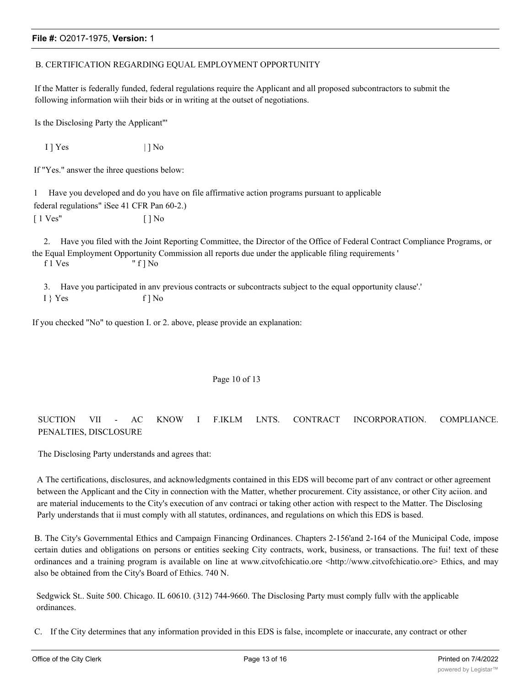#### B. CERTIFICATION REGARDING EQUAL EMPLOYMENT OPPORTUNITY

If the Matter is federally funded, federal regulations require the Applicant and all proposed subcontractors to submit the following information wiih their bids or in writing at the outset of negotiations.

Is the Disclosing Party the Applicant"'

 $1$  ] Yes  $| \cdot |$  No

If "Yes." answer the ihree questions below:

1 Have you developed and do you have on file affirmative action programs pursuant to applicable federal regulations" iSee 41 CFR Pan 60-2.) [ 1 Ves" [ ] No

2. Have you filed with the Joint Reporting Committee, the Director of the Office of Federal Contract Compliance Programs, or the Equal Employment Opportunity Commission all reports due under the applicable filing requirements ' f 1 Ves " f ] No

3. Have you participated in anv previous contracts or subcontracts subject to the equal opportunity clause'.'

 $I \} Yes$  f  $] No$ 

If you checked "No" to question I. or 2. above, please provide an explanation:

#### Page 10 of 13

#### SUCTION VII - AC KNOW I F.IKLM LNTS. CONTRACT INCORPORATION. COMPLIANCE. PENALTIES, DISCLOSURE

The Disclosing Party understands and agrees that:

A The certifications, disclosures, and acknowledgments contained in this EDS will become part of anv contract or other agreement between the Applicant and the City in connection with the Matter, whether procurement. City assistance, or other City aciion. and are material inducements to the City's execution of anv contraci or taking other action with respect to the Matter. The Disclosing Parly understands that ii must comply with all statutes, ordinances, and regulations on which this EDS is based.

B. The City's Governmental Ethics and Campaign Financing Ordinances. Chapters 2-156'and 2-164 of the Municipal Code, impose certain duties and obligations on persons or entities seeking City contracts, work, business, or transactions. The fui! text of these ordinances and a training program is available on line at www.citvofchicatio.ore <http://www.citvofchicatio.ore> Ethics, and may also be obtained from the City's Board of Ethics. 740 N.

Sedgwick St.. Suite 500. Chicago. IL 60610. (312) 744-9660. The Disclosing Party must comply fullv with the applicable ordinances.

C. If the City determines that any information provided in this EDS is false, incomplete or inaccurate, any contract or other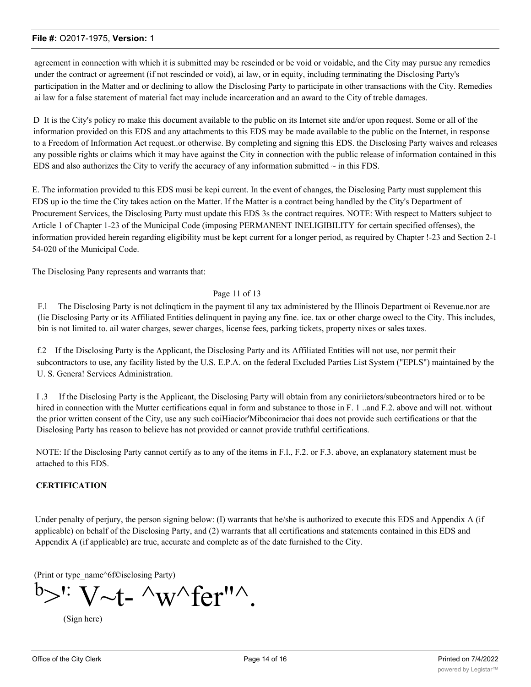agreement in connection with which it is submitted may be rescinded or be void or voidable, and the City may pursue any remedies under the contract or agreement (if not rescinded or void), ai law, or in equity, including terminating the Disclosing Party's participation in the Matter and or declining to allow the Disclosing Party to participate in other transactions with the City. Remedies ai law for a false statement of material fact may include incarceration and an award to the City of treble damages.

D It is the City's policy ro make this document available to the public on its Internet site and/or upon request. Some or all of the information provided on this EDS and any attachments to this EDS may be made available to the public on the Internet, in response to a Freedom of Information Act request..or otherwise. By completing and signing this EDS. the Disclosing Party waives and releases any possible rights or claims which it may have against the City in connection with the public release of information contained in this EDS and also authorizes the City to verify the accuracy of any information submitted  $\sim$  in this FDS.

E. The information provided tu this EDS musi be kepi current. In the event of changes, the Disclosing Party must supplement this EDS up io the time the City takes action on the Matter. If the Matter is a contract being handled by the City's Department of Procurement Services, the Disclosing Party must update this EDS 3s the contract requires. NOTE: With respect to Matters subject to Article 1 of Chapter 1-23 of the Municipal Code (imposing PERMANENT INELIGIBILITY for certain specified offenses), the information provided herein regarding eligibility must be kept current for a longer period, as required by Chapter !-23 and Section 2-1 54-020 of the Municipal Code.

The Disclosing Pany represents and warrants that:

#### Page 11 of 13

F.l The Disclosing Party is not dclinqticm in the payment til any tax administered by the Illinois Department oi Revenue.nor are (lie Disclosing Party or its Affiliated Entities delinquent in paying any fine. ice. tax or other charge owecl to the City. This includes, bin is not limited to. ail water charges, sewer charges, license fees, parking tickets, property nixes or sales taxes.

f.2 If the Disclosing Party is the Applicant, the Disclosing Party and its Affiliated Entities will not use, nor permit their subcontractors to use, any facility listed by the U.S. E.P.A. on the federal Excluded Parties List System ("EPLS") maintained by the U. S. Genera! Services Administration.

I .3 If the Disclosing Party is the Applicant, the Disclosing Party will obtain from any coniriietors/subeontraetors hired or to be hired in connection with the Mutter certifications equal in form and substance to those in F. 1 ..and F.2. above and will not. without the prior written consent of the City, use any such coiHiacior'Mibconiracior thai does not provide such certifications or that the Disclosing Party has reason to believe has not provided or cannot provide truthful certifications.

NOTE: If the Disclosing Party cannot certify as to any of the items in F.l., F.2. or F.3. above, an explanatory statement must be attached to this EDS.

#### **CERTIFICATION**

Under penalty of perjury, the person signing below: (I) warrants that he/she is authorized to execute this EDS and Appendix A (if applicable) on behalf of the Disclosing Party, and (2) warrants that all certifications and statements contained in this EDS and Appendix A (if applicable) are true, accurate and complete as of the date furnished to the City.

(Print or typc\_namc^6f©isclosing Party)

 $b >$ " V~t- ^w^fer"^.

(Sign here)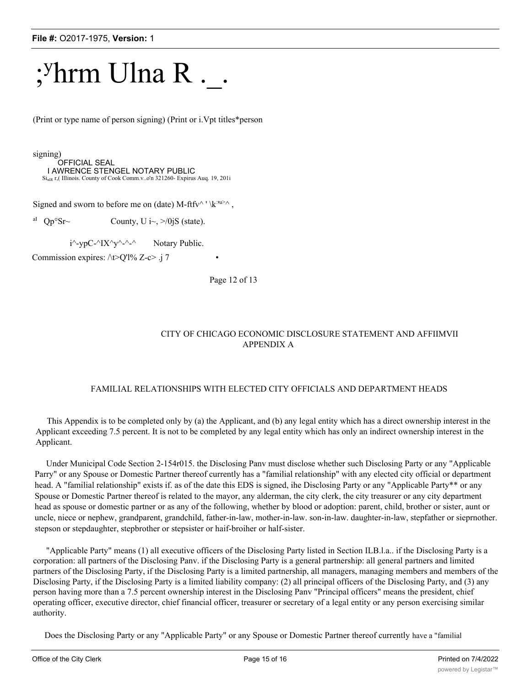## ;<sup>y</sup>hrm Ulna R....

(Print or type name of person signing) (Print or i.Vpt titles\*person

signing)

OFFICIAL SEAL I AWRENCE STENGEL NOTARY PUBLIC SinlR r,( Illinois. County of Cook Comm.v..o'n 321260- Expirus Auq. 19, 201i

Signed and sworn to before me on (date) M-ftfv^ ' \k<sup>:m></sup>^,

<sup>aI</sup> Qp<sup>o</sup>Sr~ County, U i~, >/0jS (state).

 $i^{\wedge}$ -ypC- $\wedge$ IX $\wedge$ - $\wedge$ - $\wedge$  Notary Public.

Commission expires:  $\triangle$ t $\triangleright$ Q'l% Z-c $\triangleright$  .j 7

Page 12 of 13

#### CITY OF CHICAGO ECONOMIC DISCLOSURE STATEMENT AND AFFIIMVII APPENDIX A

#### FAMILIAL RELATIONSHIPS WITH ELECTED CITY OFFICIALS AND DEPARTMENT HEADS

This Appendix is to be completed only by (a) the Applicant, and (b) any legal entity which has a direct ownership interest in the Applicant exceeding 7.5 percent. It is not to be completed by any legal entity which has only an indirect ownership interest in the Applicant.

Under Municipal Code Section 2-154r015. the Disclosing Panv must disclose whether such Disclosing Party or any "Applicable Parry" or any Spouse or Domestic Partner thereof currently has a "familial relationship" with any elected city official or department head. A "familial relationship" exists if. as of the date this EDS is signed, ihe Disclosing Party or any "Applicable Party\*\* or any Spouse or Domestic Partner thereof is related to the mayor, any alderman, the city clerk, the city treasurer or any city department head as spouse or domestic partner or as any of the following, whether by blood or adoption: parent, child, brother or sister, aunt or uncle, niece or nephew, grandparent, grandchild, father-in-law, mother-in-law. son-in-law. daughter-in-law, stepfather or sieprnother. stepson or stepdaughter, stepbrother or stepsister or haif-broiher or half-sister.

"Applicable Party" means (1) all executive officers of the Disclosing Party listed in Section ILB.l.a.. if the Disclosing Party is a corporation: all partners of the Disclosing Panv. if the Disclosing Party is a general partnership: all general partners and limited partners of the Disclosing Party, if the Disclosing Party is a limited partnership, all managers, managing members and members of the Disclosing Party, if the Disclosing Party is a limited liability company: (2) all principal officers of the Disclosing Party, and (3) any person having more than a 7.5 percent ownership interest in the Disclosing Panv "Principal officers" means the president, chief operating officer, executive director, chief financial officer, treasurer or secretary of a legal entity or any person exercising similar authority.

Does the Disclosing Party or any "Applicable Party" or any Spouse or Domestic Partner thereof currently have a "familial